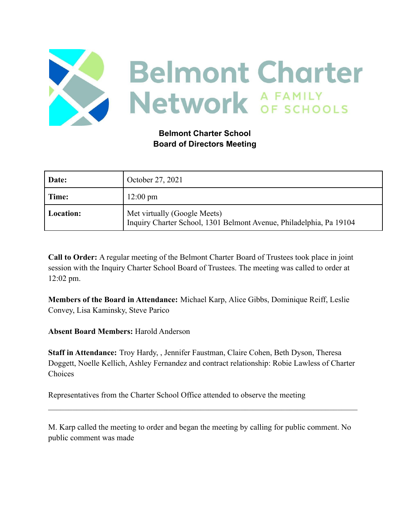

## **Belmont Charter School Board of Directors Meeting**

| Date:     | October 27, 2021                                                                                    |
|-----------|-----------------------------------------------------------------------------------------------------|
| Time:     | $12:00 \text{ pm}$                                                                                  |
| Location: | Met virtually (Google Meets)<br>Inquiry Charter School, 1301 Belmont Avenue, Philadelphia, Pa 19104 |

**Call to Order:** A regular meeting of the Belmont Charter Board of Trustees took place in joint session with the Inquiry Charter School Board of Trustees. The meeting was called to order at 12:02 pm.

**Members of the Board in Attendance:** Michael Karp, Alice Gibbs, Dominique Reiff, Leslie Convey, Lisa Kaminsky, Steve Parico

**Absent Board Members:** Harold Anderson

**Staff in Attendance:** Troy Hardy, , Jennifer Faustman, Claire Cohen, Beth Dyson, Theresa Doggett, Noelle Kellich, Ashley Fernandez and contract relationship: Robie Lawless of Charter Choices

Representatives from the Charter School Office attended to observe the meeting

M. Karp called the meeting to order and began the meeting by calling for public comment. No public comment was made

 $\mathcal{L}_\mathcal{L} = \{ \mathcal{L}_\mathcal{L} = \{ \mathcal{L}_\mathcal{L} = \{ \mathcal{L}_\mathcal{L} = \{ \mathcal{L}_\mathcal{L} = \{ \mathcal{L}_\mathcal{L} = \{ \mathcal{L}_\mathcal{L} = \{ \mathcal{L}_\mathcal{L} = \{ \mathcal{L}_\mathcal{L} = \{ \mathcal{L}_\mathcal{L} = \{ \mathcal{L}_\mathcal{L} = \{ \mathcal{L}_\mathcal{L} = \{ \mathcal{L}_\mathcal{L} = \{ \mathcal{L}_\mathcal{L} = \{ \mathcal{L}_\mathcal{$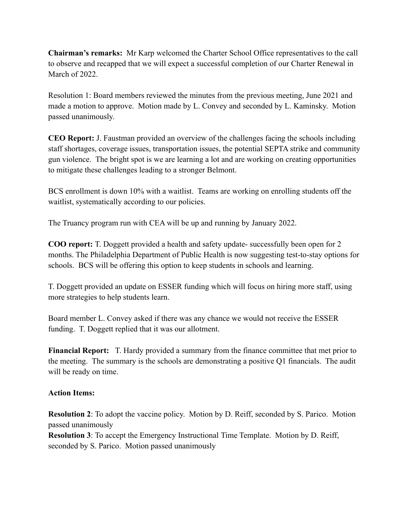**Chairman's remarks:** Mr Karp welcomed the Charter School Office representatives to the call to observe and recapped that we will expect a successful completion of our Charter Renewal in March of 2022.

Resolution 1: Board members reviewed the minutes from the previous meeting, June 2021 and made a motion to approve. Motion made by L. Convey and seconded by L. Kaminsky. Motion passed unanimously.

**CEO Report:** J. Faustman provided an overview of the challenges facing the schools including staff shortages, coverage issues, transportation issues, the potential SEPTA strike and community gun violence. The bright spot is we are learning a lot and are working on creating opportunities to mitigate these challenges leading to a stronger Belmont.

BCS enrollment is down 10% with a waitlist. Teams are working on enrolling students off the waitlist, systematically according to our policies.

The Truancy program run with CEA will be up and running by January 2022.

**COO report:** T. Doggett provided a health and safety update- successfully been open for 2 months. The Philadelphia Department of Public Health is now suggesting test-to-stay options for schools. BCS will be offering this option to keep students in schools and learning.

T. Doggett provided an update on ESSER funding which will focus on hiring more staff, using more strategies to help students learn.

Board member L. Convey asked if there was any chance we would not receive the ESSER funding. T. Doggett replied that it was our allotment.

**Financial Report:** T. Hardy provided a summary from the finance committee that met prior to the meeting. The summary is the schools are demonstrating a positive Q1 financials. The audit will be ready on time.

## **Action Items:**

**Resolution 2**: To adopt the vaccine policy. Motion by D. Reiff, seconded by S. Parico. Motion passed unanimously

**Resolution 3**: To accept the Emergency Instructional Time Template. Motion by D. Reiff, seconded by S. Parico. Motion passed unanimously